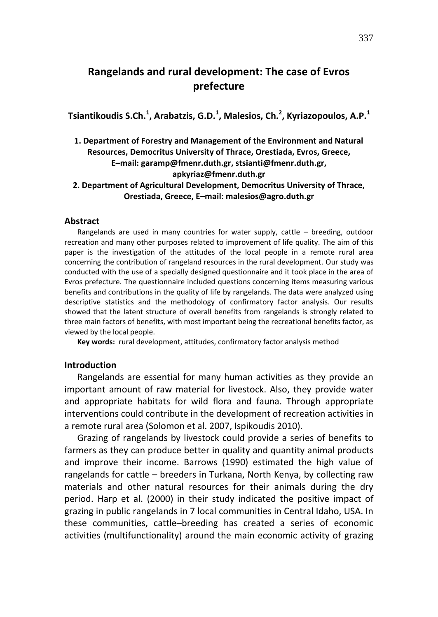# **Rangelands and rural development: The case of Evros prefecture**

**Tsiantikoudis S.Ch.<sup>1</sup> , Arabatzis, G.D.<sup>1</sup> , Malesios, Ch.<sup>2</sup> , Kyriazopoulos, A.P.<sup>1</sup>**

## **1. Department of Forestry and Management of the Environment and Natural Resources, Democritus University of Thrace, Orestiada, Evros, Greece, E–mail: garamp@fmenr.duth.gr, stsianti@fmenr.duth.gr, apkyriaz@fmenr.duth.gr**

### **2. Department of Agricultural Development, Democritus University of Thrace, Orestiada, Greece, E–mail: malesios@agro.duth.gr**

#### **Abstract**

Rangelands are used in many countries for water supply, cattle – breeding, outdoor recreation and many other purposes related to improvement of life quality. The aim of this paper is the investigation of the attitudes of the local people in a remote rural area concerning the contribution of rangeland resources in the rural development. Our study was conducted with the use of a specially designed questionnaire and it took place in the area of Evros prefecture. The questionnaire included questions concerning items measuring various benefits and contributions in the quality of life by rangelands. The data were analyzed using descriptive statistics and the methodology of confirmatory factor analysis. Our results showed that the latent structure of overall benefits from rangelands is strongly related to three main factors of benefits, with most important being the recreational benefits factor, as viewed by the local people.

**Key words:** rural development, attitudes, confirmatory factor analysis method

## **Introduction**

Rangelands are essential for many human activities as they provide an important amount of raw material for livestock. Also, they provide water and appropriate habitats for wild flora and fauna. Through appropriate interventions could contribute in the development of recreation activities in a remote rural area (Solomon et al. 2007, Ispikoudis 2010).

Grazing of rangelands by livestock could provide a series of benefits to farmers as they can produce better in quality and quantity animal products and improve their income. Barrows (1990) estimated the high value of rangelands for cattle – breeders in Turkana, North Kenya, by collecting raw materials and other natural resources for their animals during the dry period. Harp et al. (2000) in their study indicated the positive impact of grazing in public rangelands in 7 local communities in Central Idaho, USA. In these communities, cattle–breeding has created a series of economic activities (multifunctionality) around the main economic activity of grazing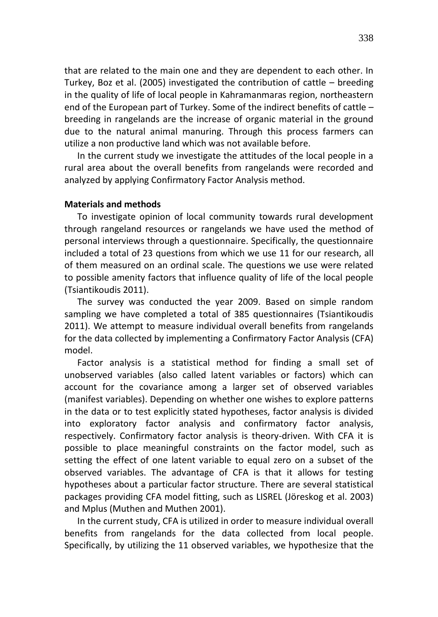that are related to the main one and they are dependent to each other. In Turkey, Boz et al. (2005) investigated the contribution of cattle – breeding in the quality of life of local people in Kahramanmaras region, northeastern end of the European part of Turkey. Some of the indirect benefits of cattle – breeding in rangelands are the increase of organic material in the ground due to the natural animal manuring. Through this process farmers can utilize a non productive land which was not available before.

In the current study we investigate the attitudes of the local people in a rural area about the overall benefits from rangelands were recorded and analyzed by applying Confirmatory Factor Analysis method.

## **Materials and methods**

To investigate opinion of local community towards rural development through rangeland resources or rangelands we have used the method of personal interviews through a questionnaire. Specifically, the questionnaire included a total of 23 questions from which we use 11 for our research, all of them measured on an ordinal scale. The questions we use were related to possible amenity factors that influence quality of life of the local people (Tsiantikoudis 2011).

The survey was conducted the year 2009. Based on simple random sampling we have completed a total of 385 questionnaires (Tsiantikoudis 2011). We attempt to measure individual overall benefits from rangelands for the data collected by implementing a Confirmatory Factor Analysis (CFA) model.

Factor analysis is a statistical method for finding a small set of unobserved variables (also called latent variables or factors) which can account for the covariance among a larger set of observed variables (manifest variables). Depending on whether one wishes to explore patterns in the data or to test explicitly stated hypotheses, factor analysis is divided into exploratory factor analysis and confirmatory factor analysis, respectively. Confirmatory factor analysis is theory-driven. With CFA it is possible to place meaningful constraints on the factor model, such as setting the effect of one latent variable to equal zero on a subset of the observed variables. The advantage of CFA is that it allows for testing hypotheses about a particular factor structure. There are several statistical packages providing CFA model fitting, such as LISREL (Jöreskog et al. 2003) and Mplus (Muthen and Muthen 2001).

In the current study, CFA is utilized in order to measure individual overall benefits from rangelands for the data collected from local people. Specifically, by utilizing the 11 observed variables, we hypothesize that the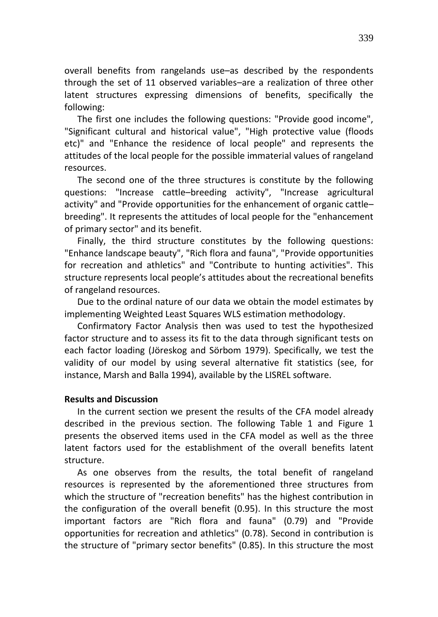overall benefits from rangelands use–as described by the respondents through the set of 11 observed variables–are a realization of three other latent structures expressing dimensions of benefits, specifically the following:

The first one includes the following questions: "Provide good income", "Significant cultural and historical value", "High protective value (floods etc)" and "Enhance the residence of local people" and represents the attitudes of the local people for the possible immaterial values of rangeland resources.

The second one of the three structures is constitute by the following questions: "Increase cattle–breeding activity", "Increase agricultural activity" and "Provide opportunities for the enhancement of organic cattle– breeding". It represents the attitudes of local people for the "enhancement of primary sector" and its benefit.

Finally, the third structure constitutes by the following questions: "Enhance landscape beauty", "Rich flora and fauna", "Provide opportunities for recreation and athletics" and "Contribute to hunting activities". This structure represents local people's attitudes about the recreational benefits of rangeland resources.

Due to the ordinal nature of our data we obtain the model estimates by implementing Weighted Least Squares WLS estimation methodology.

Confirmatory Factor Analysis then was used to test the hypothesized factor structure and to assess its fit to the data through significant tests on each factor loading (Jöreskog and Sörbom 1979). Specifically, we test the validity of our model by using several alternative fit statistics (see, for instance, Marsh and Balla 1994), available by the LISREL software.

## **Results and Discussion**

In the current section we present the results of the CFA model already described in the previous section. The following Τable 1 and Figure 1 presents the observed items used in the CFA model as well as the three latent factors used for the establishment of the overall benefits latent structure.

As one observes from the results, the total benefit of rangeland resources is represented by the aforementioned three structures from which the structure of "recreation benefits" has the highest contribution in the configuration of the overall benefit (0.95). In this structure the most important factors are "Rich flora and fauna" (0.79) and "Provide opportunities for recreation and athletics" (0.78). Second in contribution is the structure of "primary sector benefits" (0.85). In this structure the most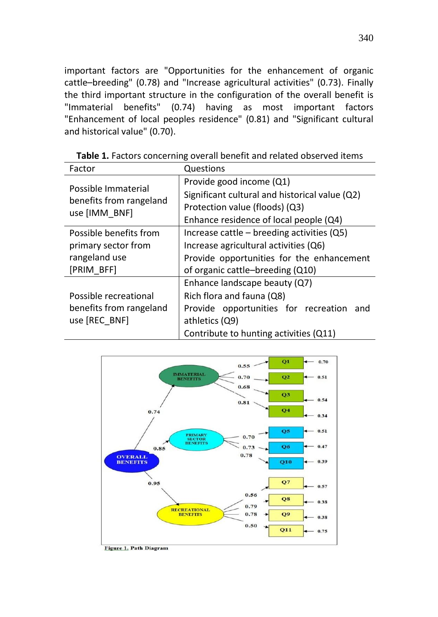important factors are "Opportunities for the enhancement of organic cattle–breeding" (0.78) and "Increase agricultural activities" (0.73). Finally the third important structure in the configuration of the overall benefit is "Immaterial benefits" (0.74) having as most important factors "Enhancement of local peoples residence" (0.81) and "Significant cultural and historical value" (0.70).

| Factor                                                          | <b>Questions</b>                               |  |
|-----------------------------------------------------------------|------------------------------------------------|--|
| Possible Immaterial<br>benefits from rangeland<br>use [IMM BNF] | Provide good income (Q1)                       |  |
|                                                                 | Significant cultural and historical value (Q2) |  |
|                                                                 | Protection value (floods) (Q3)                 |  |
|                                                                 | Enhance residence of local people (Q4)         |  |
| Possible benefits from                                          | Increase cattle $-$ breeding activities (Q5)   |  |
| primary sector from                                             | Increase agricultural activities (Q6)          |  |
| rangeland use                                                   | Provide opportunities for the enhancement      |  |
| [PRIM BFF]                                                      | of organic cattle-breeding (Q10)               |  |
|                                                                 | Enhance landscape beauty (Q7)                  |  |
| Possible recreational                                           | Rich flora and fauna (Q8)                      |  |
| benefits from rangeland                                         | Provide opportunities for recreation and       |  |
| use [REC BNF]                                                   | athletics (Q9)                                 |  |
|                                                                 | Contribute to hunting activities (Q11)         |  |

**Table 1.** Factors concerning overall benefit and related observed items



Figure 1. Path Diagram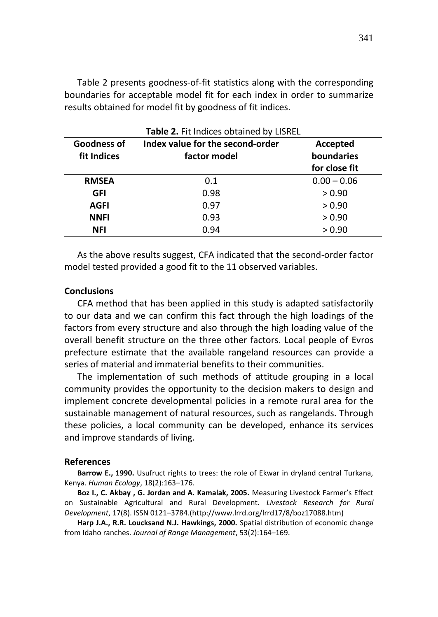Table 2 presents goodness-of-fit statistics along with the corresponding boundaries for acceptable model fit for each index in order to summarize results obtained for model fit by goodness of fit indices.

| Table 2. Fit Indices obtained by LISREL |                                                  |                        |
|-----------------------------------------|--------------------------------------------------|------------------------|
| Goodness of<br>fit Indices              | Index value for the second-order<br>factor model | Accepted<br>boundaries |
|                                         |                                                  | for close fit          |
| <b>RMSEA</b>                            | 0.1                                              | $0.00 - 0.06$          |
| GFI                                     | 0.98                                             | > 0.90                 |
| <b>AGFI</b>                             | 0.97                                             | > 0.90                 |
| <b>NNFI</b>                             | 0.93                                             | > 0.90                 |
| NFI                                     | 0.94                                             | > 0.90                 |

As the above results suggest, CFA indicated that the second-order factor model tested provided a good fit to the 11 observed variables.

#### **Conclusions**

CFA method that has been applied in this study is adapted satisfactorily to our data and we can confirm this fact through the high loadings of the factors from every structure and also through the high loading value of the overall benefit structure on the three other factors. Local people of Evros prefecture estimate that the available rangeland resources can provide a series of material and immaterial benefits to their communities.

The implementation of such methods of attitude grouping in a local community provides the opportunity to the decision makers to design and implement concrete developmental policies in a remote rural area for the sustainable management of natural resources, such as rangelands. Through these policies, a local community can be developed, enhance its services and improve standards of living.

#### **References**

**Barrow E., 1990.** Usufruct rights to trees: the role of Ekwar in dryland central Turkana, Kenya. *Human Ecology*, 18(2):163–176.

**Boz I., C. Akbay , G. Jordan and A. Kamalak, 2005.** Measuring Livestock Farmer's Effect on Sustainable Agricultural and Rural Development. *Livestock Research for Rural Development*, 17(8). ISSN 0121–3784.(http://www.lrrd.org/lrrd17/8/boz17088.htm)

**Harp J.A., R.R. Loucksand N.J. Hawkings, 2000.** Spatial distribution of economic change from Idaho ranches. *Journal of Range Management*, 53(2):164–169.